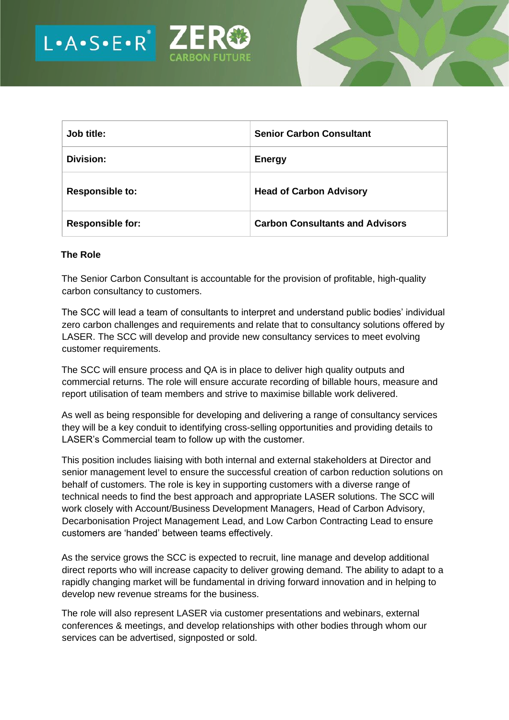



| Job title:              | <b>Senior Carbon Consultant</b>        |
|-------------------------|----------------------------------------|
| <b>Division:</b>        | <b>Energy</b>                          |
| <b>Responsible to:</b>  | <b>Head of Carbon Advisory</b>         |
| <b>Responsible for:</b> | <b>Carbon Consultants and Advisors</b> |

## **The Role**

The Senior Carbon Consultant is accountable for the provision of profitable, high-quality carbon consultancy to customers.

The SCC will lead a team of consultants to interpret and understand public bodies' individual zero carbon challenges and requirements and relate that to consultancy solutions offered by LASER. The SCC will develop and provide new consultancy services to meet evolving customer requirements.

The SCC will ensure process and QA is in place to deliver high quality outputs and commercial returns. The role will ensure accurate recording of billable hours, measure and report utilisation of team members and strive to maximise billable work delivered.

As well as being responsible for developing and delivering a range of consultancy services they will be a key conduit to identifying cross-selling opportunities and providing details to LASER's Commercial team to follow up with the customer.

This position includes liaising with both internal and external stakeholders at Director and senior management level to ensure the successful creation of carbon reduction solutions on behalf of customers. The role is key in supporting customers with a diverse range of technical needs to find the best approach and appropriate LASER solutions. The SCC will work closely with Account/Business Development Managers, Head of Carbon Advisory, Decarbonisation Project Management Lead, and Low Carbon Contracting Lead to ensure customers are 'handed' between teams effectively.

As the service grows the SCC is expected to recruit, line manage and develop additional direct reports who will increase capacity to deliver growing demand. The ability to adapt to a rapidly changing market will be fundamental in driving forward innovation and in helping to develop new revenue streams for the business.

The role will also represent LASER via customer presentations and webinars, external conferences & meetings, and develop relationships with other bodies through whom our services can be advertised, signposted or sold.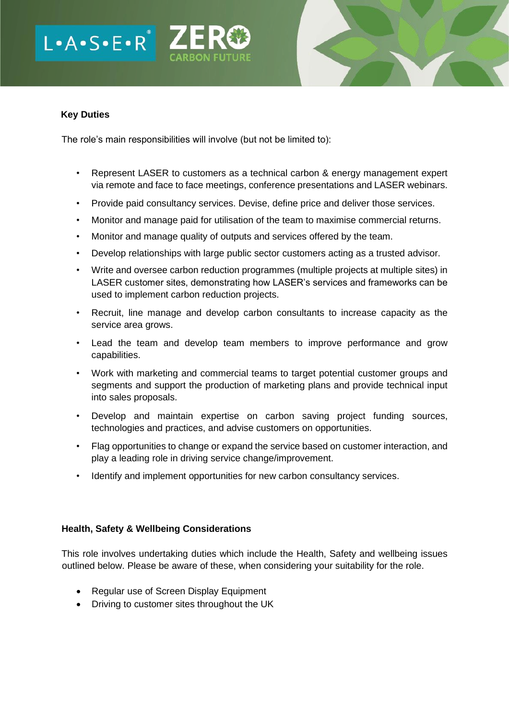# $L A \cdot S \cdot E \cdot R^*$



## **Key Duties**

The role's main responsibilities will involve (but not be limited to):

- Represent LASER to customers as a technical carbon & energy management expert via remote and face to face meetings, conference presentations and LASER webinars.
- Provide paid consultancy services. Devise, define price and deliver those services.
- Monitor and manage paid for utilisation of the team to maximise commercial returns.
- Monitor and manage quality of outputs and services offered by the team.
- Develop relationships with large public sector customers acting as a trusted advisor.
- Write and oversee carbon reduction programmes (multiple projects at multiple sites) in LASER customer sites, demonstrating how LASER's services and frameworks can be used to implement carbon reduction projects.
- Recruit, line manage and develop carbon consultants to increase capacity as the service area grows.
- Lead the team and develop team members to improve performance and grow capabilities.
- Work with marketing and commercial teams to target potential customer groups and segments and support the production of marketing plans and provide technical input into sales proposals.
- Develop and maintain expertise on carbon saving project funding sources, technologies and practices, and advise customers on opportunities.
- Flag opportunities to change or expand the service based on customer interaction, and play a leading role in driving service change/improvement.
- Identify and implement opportunities for new carbon consultancy services.

# **Health, Safety & Wellbeing Considerations**

This role involves undertaking duties which include the Health, Safety and wellbeing issues outlined below. Please be aware of these, when considering your suitability for the role.

- Regular use of Screen Display Equipment
- Driving to customer sites throughout the UK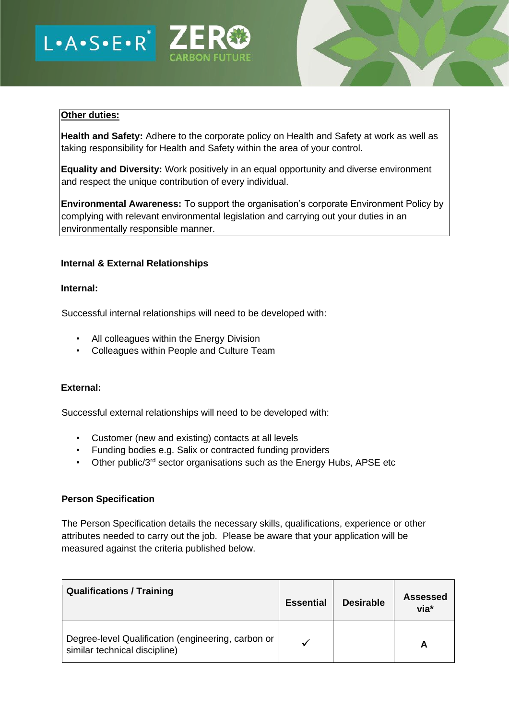



## **Other duties:**

**Health and Safety:** Adhere to the corporate policy on Health and Safety at work as well as taking responsibility for Health and Safety within the area of your control.

**Equality and Diversity:** Work positively in an equal opportunity and diverse environment and respect the unique contribution of every individual.

**Environmental Awareness:** To support the organisation's corporate Environment Policy by complying with relevant environmental legislation and carrying out your duties in an environmentally responsible manner.

## **Internal & External Relationships**

#### **Internal:**

Successful internal relationships will need to be developed with:

- All colleagues within the Energy Division
- Colleagues within People and Culture Team

## **External:**

Successful external relationships will need to be developed with:

- Customer (new and existing) contacts at all levels
- Funding bodies e.g. Salix or contracted funding providers
- Other public/3<sup>rd</sup> sector organisations such as the Energy Hubs, APSE etc

#### **Person Specification**

The Person Specification details the necessary skills, qualifications, experience or other attributes needed to carry out the job. Please be aware that your application will be measured against the criteria published below.

| <b>Qualifications / Training</b>                                                    | <b>Essential</b> | <b>Desirable</b> | Assessed<br>via* |
|-------------------------------------------------------------------------------------|------------------|------------------|------------------|
| Degree-level Qualification (engineering, carbon or<br>similar technical discipline) |                  |                  |                  |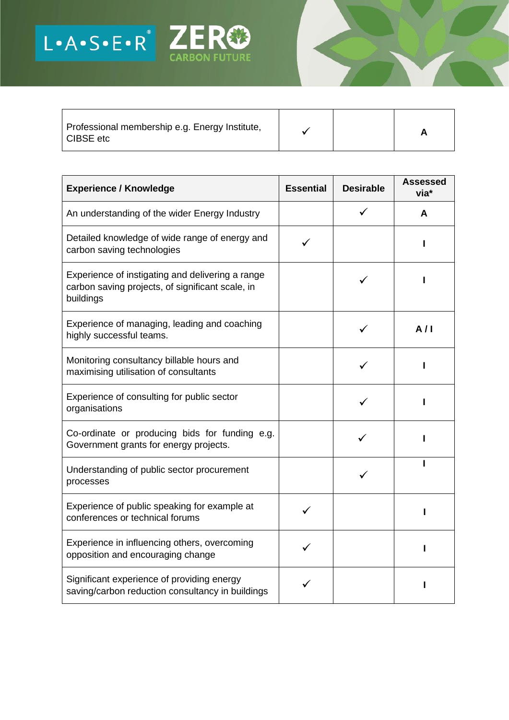

Professional membership e.g. Energy Institute, │ │ │ │ │ │ │ │ **A**<br>CIBSE etc

| A |  |
|---|--|
|---|--|

| <b>Experience / Knowledge</b>                                                                                     | <b>Essential</b> | <b>Desirable</b> | <b>Assessed</b><br>via* |
|-------------------------------------------------------------------------------------------------------------------|------------------|------------------|-------------------------|
| An understanding of the wider Energy Industry                                                                     |                  |                  | A                       |
| Detailed knowledge of wide range of energy and<br>carbon saving technologies                                      |                  |                  |                         |
| Experience of instigating and delivering a range<br>carbon saving projects, of significant scale, in<br>buildings |                  |                  |                         |
| Experience of managing, leading and coaching<br>highly successful teams.                                          |                  |                  | A/I                     |
| Monitoring consultancy billable hours and<br>maximising utilisation of consultants                                |                  |                  |                         |
| Experience of consulting for public sector<br>organisations                                                       |                  |                  |                         |
| Co-ordinate or producing bids for funding e.g.<br>Government grants for energy projects.                          |                  |                  |                         |
| Understanding of public sector procurement<br>processes                                                           |                  | ✓                |                         |
| Experience of public speaking for example at<br>conferences or technical forums                                   |                  |                  |                         |
| Experience in influencing others, overcoming<br>opposition and encouraging change                                 |                  |                  |                         |
| Significant experience of providing energy<br>saving/carbon reduction consultancy in buildings                    |                  |                  |                         |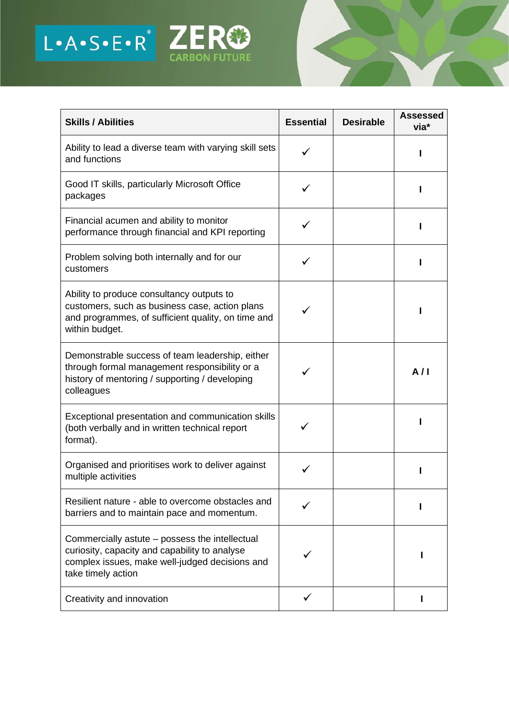

| <b>Skills / Abilities</b>                                                                                                                                               | <b>Essential</b> | <b>Desirable</b> | <b>Assessed</b><br>via* |
|-------------------------------------------------------------------------------------------------------------------------------------------------------------------------|------------------|------------------|-------------------------|
| Ability to lead a diverse team with varying skill sets<br>and functions                                                                                                 |                  |                  |                         |
| Good IT skills, particularly Microsoft Office<br>packages                                                                                                               |                  |                  |                         |
| Financial acumen and ability to monitor<br>performance through financial and KPI reporting                                                                              |                  |                  |                         |
| Problem solving both internally and for our<br>customers                                                                                                                |                  |                  |                         |
| Ability to produce consultancy outputs to<br>customers, such as business case, action plans<br>and programmes, of sufficient quality, on time and<br>within budget.     |                  |                  |                         |
| Demonstrable success of team leadership, either<br>through formal management responsibility or a<br>history of mentoring / supporting / developing<br>colleagues        |                  |                  | A/I                     |
| Exceptional presentation and communication skills<br>(both verbally and in written technical report<br>format).                                                         |                  |                  |                         |
| Organised and prioritises work to deliver against<br>multiple activities                                                                                                |                  |                  |                         |
| Resilient nature - able to overcome obstacles and<br>barriers and to maintain pace and momentum.                                                                        |                  |                  |                         |
| Commercially astute – possess the intellectual<br>curiosity, capacity and capability to analyse<br>complex issues, make well-judged decisions and<br>take timely action |                  |                  |                         |
| Creativity and innovation                                                                                                                                               | ✓                |                  |                         |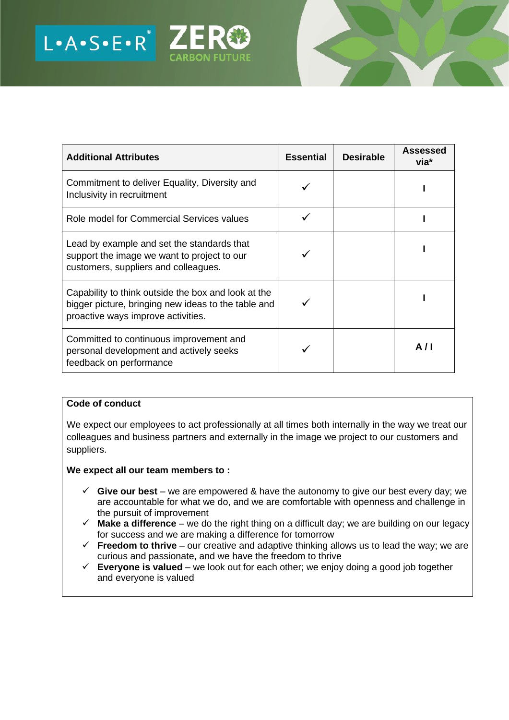

| <b>Additional Attributes</b>                                                                                                                     | <b>Essential</b> | <b>Desirable</b> | <b>Assessed</b><br>via* |
|--------------------------------------------------------------------------------------------------------------------------------------------------|------------------|------------------|-------------------------|
| Commitment to deliver Equality, Diversity and<br>Inclusivity in recruitment                                                                      |                  |                  |                         |
| Role model for Commercial Services values                                                                                                        |                  |                  |                         |
| Lead by example and set the standards that<br>support the image we want to project to our<br>customers, suppliers and colleagues.                |                  |                  |                         |
| Capability to think outside the box and look at the<br>bigger picture, bringing new ideas to the table and<br>proactive ways improve activities. |                  |                  |                         |
| Committed to continuous improvement and<br>personal development and actively seeks<br>feedback on performance                                    |                  |                  | A/I                     |

## **Code of conduct**

We expect our employees to act professionally at all times both internally in the way we treat our colleagues and business partners and externally in the image we project to our customers and suppliers.

## **We expect all our team members to :**

- $\checkmark$  Give our best we are empowered & have the autonomy to give our best every day; we are accountable for what we do, and we are comfortable with openness and challenge in the pursuit of improvement
- ✓ **Make a difference** we do the right thing on a difficult day; we are building on our legacy for success and we are making a difference for tomorrow
- $\checkmark$  **Freedom to thrive** our creative and adaptive thinking allows us to lead the way; we are curious and passionate, and we have the freedom to thrive
- $\checkmark$  **Everyone is valued** we look out for each other; we enjoy doing a good job together and everyone is valued